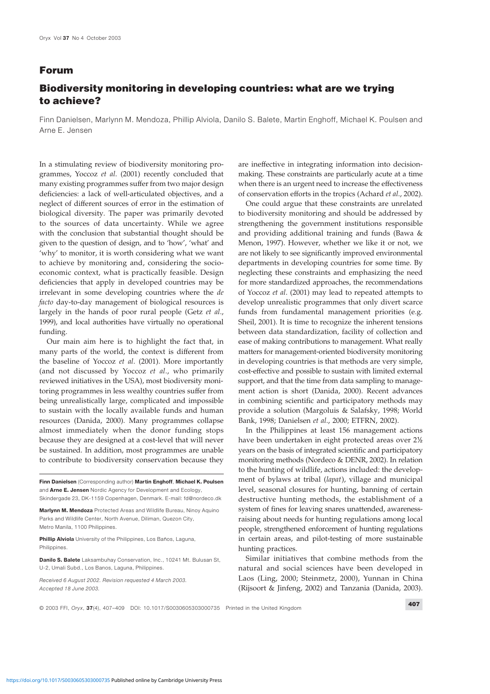## **Forum**

## **Biodiversity monitoring in developing countries: what are we trying to achieve?**

Finn Danielsen, Marlynn M. Mendoza, Phillip Alviola, Danilo S. Balete, Martin Enghoff, Michael K. Poulsen and Arne E. Jensen

In a stimulating review of biodiversity monitoring pro- are ineffective in integrating information into decisiongrammes, Yoccoz *et al*. (2001) recently concluded that making. These constraints are particularly acute at a time many existing programmes suffer from two major design when there is an urgent need to increase the effectiveness deficiencies: a lack of well-articulated objectives, and a of conservation efforts in the tropics (Achard *et al.*, 2002). neglect of different sources of error in the estimation of One could argue that these constraints are unrelated biological diversity. The paper was primarily devoted to biodiversity monitoring and should be addressed by to the sources of data uncertainty. While we agree strengthening the government institutions responsible with the conclusion that substantial thought should be and providing additional training and funds (Bawa & given to the question of design, and to 'how', 'what' and Menon, 1997). However, whether we like it or not, we 'why' to monitor, it is worth considering what we want are not likely to see significantly improved environmental to achieve by monitoring and, considering the socio-<br>departments in developing countries for some time. By economic context, what is practically feasible. Design neglecting these constraints and emphasizing the need deficiencies that apply in developed countries may be for more standardized approaches, the recommendations irrelevant in some developing countries where the *de* of Yoccoz *et al*. (2001) may lead to repeated attempts to *facto* day-to-day management of biological resources is develop unrealistic programmes that only divert scarce largely in the hands of poor rural people (Getz *et al*., funds from fundamental management priorities (e.g. 1999), and local authorities have virtually no operational Sheil, 2001). It is time to recognize the inherent tensions funding. between data standardization, facility of collection and

many parts of the world, the context is different from matters for management-oriented biodiversity monitoring the baseline of Yoccoz *et al*. (2001). More importantly in developing countries is that methods are very simple, (and not discussed by Yoccoz *et al.*, who primarily cost-effective and possible to sustain with limited external reviewed initiatives in the USA), most biodiversity moni- support, and that the time from data sampling to managetoring programmes in less wealthy countries suffer from ment action is short (Danida, 2000). Recent advances being unrealistically large, complicated and impossible in combining scientific and participatory methods may to sustain with the locally available funds and human provide a solution (Margoluis & Salafsky, 1998; World resources (Danida, 2000). Many programmes collapse Bank, 1998; Danielsen *et al*., 2000; ETFRN, 2002). almost immediately when the donor funding stops In the Philippines at least 156 management actions because they are designed at a cost-level that will never have been undertaken in eight protected areas over  $2\frac{1}{2}$ be sustained. In addition, most programmes are unable years on the basis of integrated scientific and participatory to contribute to biodiversity conservation because they monitoring methods (Nordeco & DENR, 2002). In relation

and Arne E. Jensen Nordic Agency for Development and Ecology, level, seasonal closures for hunting, banning of certain

Philippines. hunting practices.

Our main aim here is to highlight the fact that, in ease of making contributions to management. What really

to the hunting of wildlife, actions included: the develop-Finn Danielsen (Corresponding author) Martin Enghoff, Michael K. Poulsen ment of bylaws at tribal (lapat), village and municipal Skindergade 23, DK-1159 Copenhagen, Denmark. E-mail: fd@nordeco.dk destructive hunting methods, the establishment of a Marlynn M. Mendoza Protected Areas and Wildlife Bureau, Ninoy Aquino system of fines for leaving snares unattended, awareness-Parks and Wildlife Center, North Avenue, Diliman, Quezon City, raising about needs for hunting regulations among local<br>
Metro Manila, 1100 Philippines.<br> **People strengthened enforcement of hunting regulations** people, strengthened enforcement of hunting regulations Phillip Alviola University of the Philippines, Los Baños, Laguna, in certain areas, and pilot-testing of more sustainable

Danilo S. Balete Laksambuhay Conservation, Inc., 10241 Mt. Bulusan St, Similar initiatives that combine methods from the U-2, Umali Subd., Los Banos, Laguna, Philippines. have been developed in Received 6 August 2002. Revision requested 4 March 2003. Laos (Ling, 2000; Steinmetz, 2000), Yunnan in China Accepted 18 June 2003. (Rijsoort & Jinfeng, 2002) and Tanzania (Danida, 2003).

© 2003 FFI, Oryx, 37(4), 407–409 DOI: 10.1017/S0030605303000735 Printed in the United Kingdom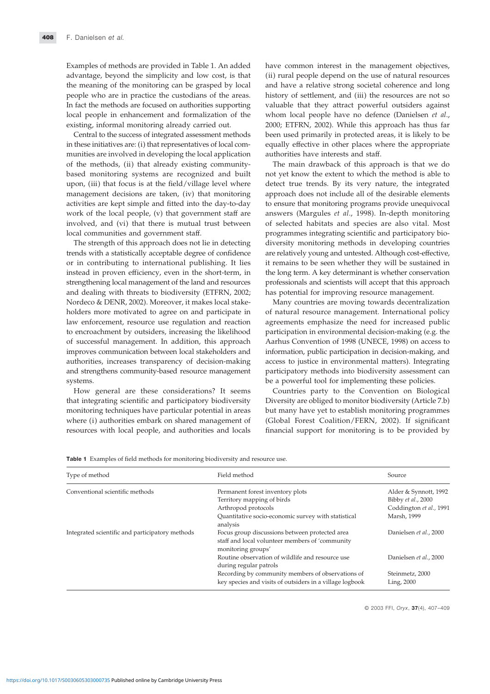in these initiatives are: (i) that representatives of local com-equally effective in other places where the appropriate munities are involved in developing the local application authorities have interests and staff. of the methods, (ii) that already existing community- The main drawback of this approach is that we do based monitoring systems are recognized and built not yet know the extent to which the method is able to upon, (iii) that focus is at the field/village level where detect true trends. By its very nature, the integrated management decisions are taken, (iv) that monitoring approach does not include all of the desirable elements activities are kept simple and fitted into the day-to-day to ensure that monitoring programs provide unequivocal work of the local people, (v) that government staff are answers (Margules *et al.*, 1998). In-depth monitoring involved, and (vi) that there is mutual trust between of selected habitats and species are also vital. Most local communities and government staff. programmes integrating scientific and participatory bio-

trends with a statistically acceptable degree of confidence are relatively young and untested. Although cost-effective, or in contributing to international publishing. It lies it remains to be seen whether they will be sustained in instead in proven efficiency, even in the short-term, in the long term. A key determinant is whether conservation strengthening local management of the land and resources professionals and scientists will accept that this approach and dealing with threats to biodiversity (ETFRN, 2002; has potential for improving resource management. Nordeco & DENR, 2002). Moreover, it makes local stake- Many countries are moving towards decentralization holders more motivated to agree on and participate in of natural resource management. International policy law enforcement, resource use regulation and reaction agreements emphasize the need for increased public to encroachment by outsiders, increasing the likelihood participation in environmental decision-making (e.g. the of successful management. In addition, this approach Aarhus Convention of 1998 (UNECE, 1998) on access to improves communication between local stakeholders and information, public participation in decision-making, and authorities, increases transparency of decision-making access to justice in environmental matters). Integrating and strengthens community-based resource management participatory methods into biodiversity assessment can systems. be a powerful tool for implementing these policies.

Examples of methods are provided in Table 1. An added have common interest in the management objectives, advantage, beyond the simplicity and low cost, is that (ii) rural people depend on the use of natural resources the meaning of the monitoring can be grasped by local and have a relative strong societal coherence and long people who are in practice the custodians of the areas. history of settlement, and (iii) the resources are not so In fact the methods are focused on authorities supporting valuable that they attract powerful outsiders against local people in enhancement and formalization of the whom local people have no defence (Danielsen *et al*., existing, informal monitoring already carried out. 2000; ETFRN, 2002). While this approach has thus far Central to the success of integrated assessment methods been used primarily in protected areas, it is likely to be

The strength of this approach does not lie in detecting diversity monitoring methods in developing countries

How general are these considerations? It seems Countries party to the Convention on Biological that integrating scientific and participatory biodiversity Diversity are obliged to monitor biodiversity (Article 7.b) monitoring techniques have particular potential in areas but many have yet to establish monitoring programmes where (i) authorities embark on shared management of (Global Forest Coalition/FERN, 2002). If significant resources with local people, and authorities and locals financial support for monitoring is to be provided by

Table 1 Examples of field methods for monitoring biodiversity and resource use.

| Type of method                                  | Field method                                                                                                            | Source                        |
|-------------------------------------------------|-------------------------------------------------------------------------------------------------------------------------|-------------------------------|
| Conventional scientific methods                 | Permanent forest inventory plots                                                                                        | Alder & Synnott, 1992         |
|                                                 | Territory mapping of birds                                                                                              | Bibby et al., 2000            |
|                                                 | Arthropod protocols                                                                                                     | Coddington et al., 1991       |
|                                                 | Quantitative socio-economic survey with statistical<br>analysis                                                         | Marsh, 1999                   |
| Integrated scientific and participatory methods | Focus group discussions between protected area<br>staff and local volunteer members of 'community<br>monitoring groups' | Danielsen et al., 2000        |
|                                                 | Routine observation of wildlife and resource use<br>during regular patrols                                              | Danielsen et al., 2000        |
|                                                 | Recording by community members of observations of<br>key species and visits of outsiders in a village logbook           | Steinmetz, 2000<br>Ling, 2000 |

© 2003 FFI, Oryx, 37(4), 407–409